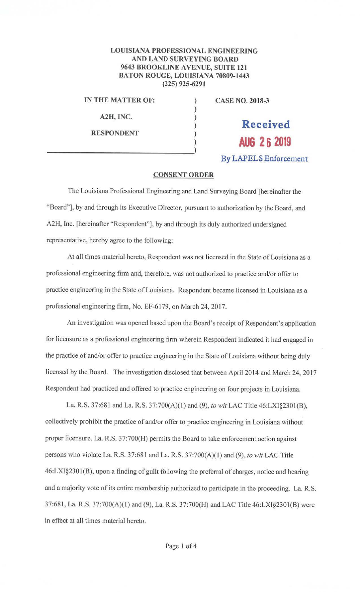## **LOUISIANA PROFESSIONAL ENGINEERING AND LAND SURVEYING BOARD 9643 BROOKLINE AVENUE, SUITE 121 BATON ROUGE, LOUISIANA 70809-1443 (225) 925-6291**

) ) ) ) )

**IN THE MATTER OF:** )

**A2A, INC.** 

**RESPONDENT** 

**CASE NO. 2018-3** 

**Received AUG 26 2019 By LAPELS Enforcement** 

## **CONSENT ORDER**

The Louisiana Professional Engineering and Land Surveying Board [hereinafter the "Board"], by and through its Executive Director, pursuant to authorization by the Board, and A2H, Inc. [hereinafter "Respondent"], by and through its duly authorized undersigned representative, hereby agree to the following:

At all times material hereto, Respondent was not licensed in the State of Louisiana as a professional engineering firm and, therefore, was not authorized to practice and/or offer to practice engineering in the State of Louisiana. Respondent became licensed in Louisiana as a professional engineering firm, No. EF-6179, on March 24, 2017.

An investigation was opened based upon the Board's receipt of Respondent's application for Jicensure as a professional engineering firm wherein Respondent indicated it had engaged in the practice of and/or offer to practice engineering in the State of Louisiana without being duly licensed by the Board. The investigation disclosed that between April 2014 and March 24, 2017 Respondent had practiced and offered to practice engineering on four projects in Louisiana.

La. R.S. 37:681 and La. R.S. 37:700(A)( I) and (9), *to wit* LAC Title 46:LXI§2301(B), collectively prohibit the practice of and/or offer to practice engineering in Louisiana without proper licensure. La. R.S. 37:700(H) permits the Board to take enforcement action against persons who violate La. R.S. 37:681 and La R.S. 37:700(A)(1) and (9), *to wit* LAC Title 46:LXI§2301(B), upon a finding of guilt following the preferral of charges, notice and hearing and a majority vote of its entire membership authorized to patticipate in the proceeding. La R.S. 37:681, La. R.S. 37:700(A)(l) and (9), La. R.S. 37:700(H) and LAC Title 46:LXI§2301(8) were in effect at all times material hereto.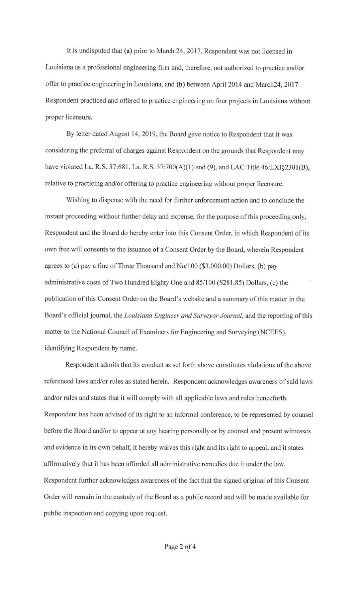It is undisputed that (a) prior to March 24, 2017, Respondent was not licensed in Louisiana as a professional engineering firm and, therefore, not authorized to practice and/or offer to practice engineering in Louisiana, and (b) between April 2014 and March24, 2017 Respondent practiced and offered to practice engineering on four projects in Louisiana without proper licensure.

By letter dated August 14, 2019, the Board gave notice to Respondent that it was considering the preferral of charges against Respondent on the grounds that Respondent may have violated La. R.S. 37:681, La. R.S. 37:700(A)(1) and (9), and LAC Title 46:LXI§2301(B), relative to practicing and/or offering to practice engineering without proper licensure.

Wishing to dispense with the need for further enforcement action and to conclude the instant proceeding without further delay and expense, for the purpose of this proceeding only, Respondent and the Board do hereby enter into this Consent Order, in which Respondent of its own free will consents to the issuance of a Consent Order by the Board, wherein Respondent agrees to (a) pay a fine of Three Thousand and No/100 (\$3,000.00) Dollars, (b) pay administrative costs of Two Hundred Eighty One and 85/100 (\$28 1.85) Dollars, (c) the publication of this Consent Order on the Board's website and a summary of this matter in the Board's official journal, the *Louisiana Engineer and Surveyor Journal*, and the reporting of this matter to the National Council of Examiners for Engineering and Surveying (NCEES), identifying Respondent by name.

Respondent admits that its conduct as set forth above constitutes violations of the above referenced laws and/or rules as stated herein. Respondent acknowledges awareness of said laws and/or rules and states that it will comply with all applicable laws and rules henceforth. Respondent has been advised of its right to an informal conference, to be represented by counsel before the Board and/or to appear at any hearing personally or by counsel and present witnesses and evidence in its own behalf, it hereby waives this right and its right to appeal, and it states affirmatively that it has been afforded all administrative remedies due it under the law. Respondent further acknowledges awareness of the fact that the signed original of this Consent Order will remain in the custody of the Board as a public record and will be made available for public inspection and copying upon request.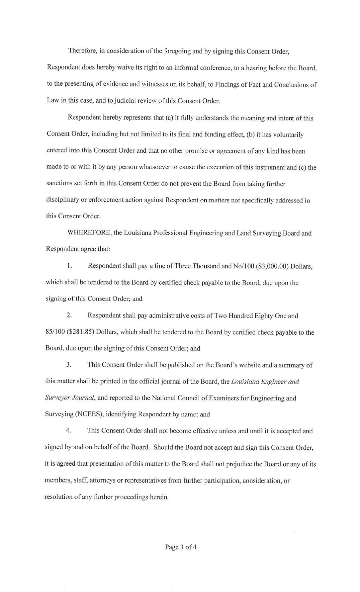Therefore, in consideration of the foregoing and by signing this Consent Order, Respondent does hereby waive its right to an informal conference, to a hearing before the Board, to the presenting of evidence and witnesses on its behalf, to Findings of Fact and Conclusions of Law in this case, and to judicial review of this Consent Order.

Respondent hereby represents that (a) it fully understands the meaning and intent of this Consent Order, including but not limited to its final and binding effect, (b) it has voluntarily entered into this Consent Order and that no other promise or agreement of any kind has been made to or with it by any person whatsoever to cause the execution of this instrument and (c) the sanctions set forth in this Consent Order do not prevent the Board from taking further disciplinary or enforcement action against Respondent on matters not specifically addressed in this Consent Order.

WHEREFORE, the Louisiana Professional Engineering and Land Surveying Board and Respondent agree that:

I. Respondent shall pay a fine of Three Thousand and No/100 (\$3,000.00) Dollars, which shall be tendered to the Board by certified check payable to the Board, due upon the signing of this Consent Order; and

2. Respondent shall pay administrative costs of Two Hundred Eighty One and 85/100 (\$281.85) Dollars, which shall be tendered to the Board by certified check payable to the Board, due upon the signing of this Consent Order; and

3. This Consent Order shall be published on the Board's website and a summary of this matter shall be printed in the official journal of the Board, the *Louisiana Engineer and Surveyor Journal,* and reported to the National Council of Examiners for Engineering and Surveying (NCEES), identifying Respondent by name; and

4. This Consent Order shall not become effective unless and until it is accepted and signed by and on behalf of the Board. Should the Board not accept and sign this Consent Order, it is agreed that presentation of this matter to the Board shall not prejudice the Board or any of its members, staff, attorneys or representatives from further participation, consideration, or resolution of any further proceedings herein.